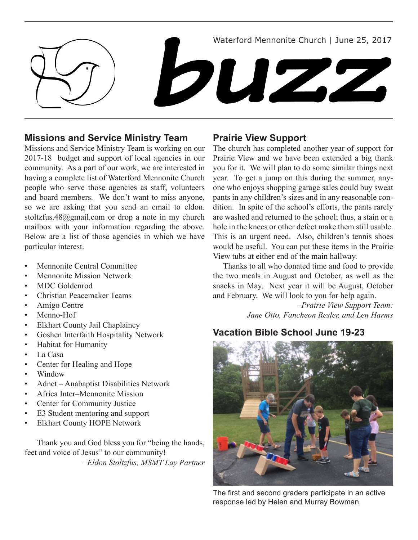Waterford Mennonite Church | June 25, 2017



## **Missions and Service Ministry Team**

Missions and Service Ministry Team is working on our 2017-18 budget and support of local agencies in our community. As a part of our work, we are interested in having a complete list of Waterford Mennonite Church people who serve those agencies as staff, volunteers and board members. We don't want to miss anyone, so we are asking that you send an email to eldon. stoltzfus.48@gmail.com or drop a note in my church mailbox with your information regarding the above. Below are a list of those agencies in which we have particular interest.

- Mennonite Central Committee
- **Mennonite Mission Network**
- MDC Goldenrod
- **Christian Peacemaker Teams**
- • Amigo Centre
- Menno-Hof
- **Elkhart County Jail Chaplaincy**
- Goshen Interfaith Hospitality Network
- Habitat for Humanity
- • La Casa
- • Center for Healing and Hope
- Window<sub></sub>
- Adnet Anabaptist Disabilities Network
- Africa Inter–Mennonite Mission
- Center for Community Justice
- • E3 Student mentoring and support
- Elkhart County HOPE Network

Thank you and God bless you for "being the hands, feet and voice of Jesus" to our community! *–Eldon Stoltzfus, MSMT Lay Partner*

## **Prairie View Support**

The church has completed another year of support for Prairie View and we have been extended a big thank you for it. We will plan to do some similar things next year. To get a jump on this during the summer, anyone who enjoys shopping garage sales could buy sweat pants in any children's sizes and in any reasonable condition. In spite of the school's efforts, the pants rarely are washed and returned to the school; thus, a stain or a hole in the knees or other defect make them still usable. This is an urgent need. Also, children's tennis shoes would be useful. You can put these items in the Prairie View tubs at either end of the main hallway.

 Thanks to all who donated time and food to provide the two meals in August and October, as well as the snacks in May. Next year it will be August, October and February. We will look to you for help again.

> *–Prairie View Support Team: Jane Otto, Fancheon Resler, and Len Harms*

## **Vacation Bible School June 19-23**



The first and second graders participate in an active response led by Helen and Murray Bowman.